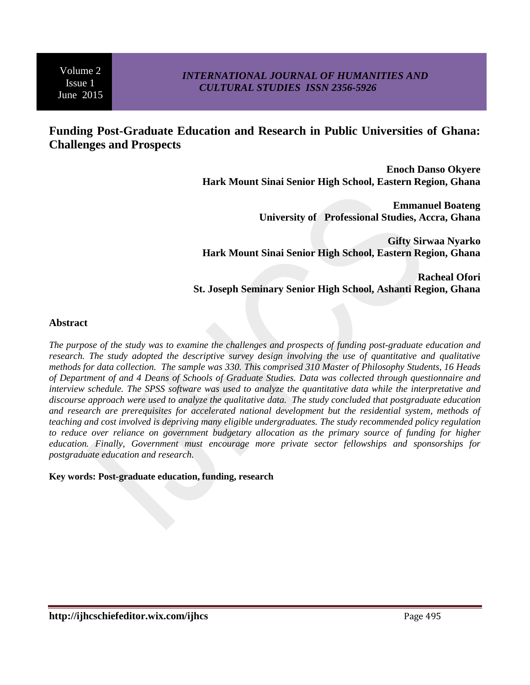## *INTERNATIONAL JOURNAL OF HUMANITIES AND CULTURAL STUDIES ISSN 2356-5926*

# **Funding Post-Graduate Education and Research in Public Universities of Ghana: Challenges and Prospects**

**Enoch Danso Okyere Hark Mount Sinai Senior High School, Eastern Region, Ghana**

> **Emmanuel Boateng University of Professional Studies, Accra, Ghana**

**Gifty Sirwaa Nyarko Hark Mount Sinai Senior High School, Eastern Region, Ghana**

**Racheal Ofori St. Joseph Seminary Senior High School, Ashanti Region, Ghana**

### **Abstract**

*The purpose of the study was to examine the challenges and prospects of funding post-graduate education and research. The study adopted the descriptive survey design involving the use of quantitative and qualitative methods for data collection. The sample was 330. This comprised 310 Master of Philosophy Students, 16 Heads of Department of and 4 Deans of Schools of Graduate Studies. Data was collected through questionnaire and interview schedule. The SPSS software was used to analyze the quantitative data while the interpretative and discourse approach were used to analyze the qualitative data. The study concluded that postgraduate education and research are prerequisites for accelerated national development but the residential system, methods of teaching and cost involved is depriving many eligible undergraduates. The study recommended policy regulation to reduce over reliance on government budgetary allocation as the primary source of funding for higher education. Finally, Government must encourage more private sector fellowships and sponsorships for postgraduate education and research.*

#### **Key words: Post-graduate education, funding, research**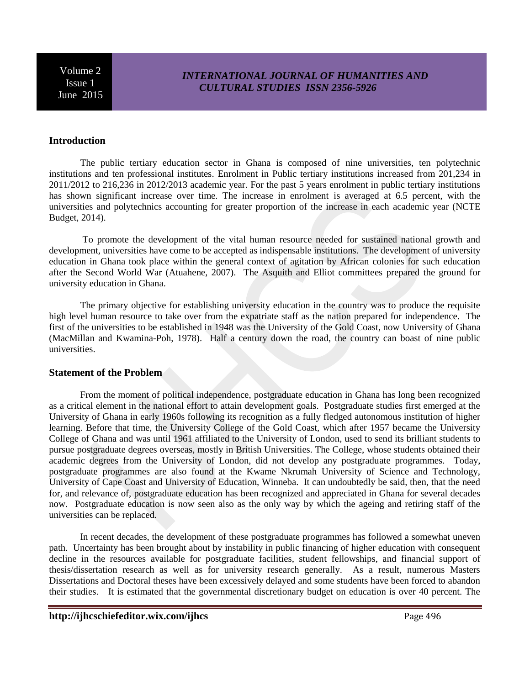## *INTERNATIONAL JOURNAL OF HUMANITIES AND CULTURAL STUDIES ISSN 2356-5926*

### **Introduction**

The public tertiary education sector in Ghana is composed of nine universities, ten polytechnic institutions and ten professional institutes. Enrolment in Public tertiary institutions increased from 201,234 in 2011/2012 to 216,236 in 2012/2013 academic year. For the past 5 years enrolment in public tertiary institutions has shown significant increase over time. The increase in enrolment is averaged at 6.5 percent, with the universities and polytechnics accounting for greater proportion of the increase in each academic year (NCTE Budget, 2014).

To promote the development of the vital human resource needed for sustained national growth and development, universities have come to be accepted as indispensable institutions. The development of university education in Ghana took place within the general context of agitation by African colonies for such education after the Second World War (Atuahene, 2007). The Asquith and Elliot committees prepared the ground for university education in Ghana.

The primary objective for establishing university education in the country was to produce the requisite high level human resource to take over from the expatriate staff as the nation prepared for independence. The first of the universities to be established in 1948 was the University of the Gold Coast, now University of Ghana (MacMillan and Kwamina-Poh, 1978). Half a century down the road, the country can boast of nine public universities.

#### **Statement of the Problem**

From the moment of political independence, postgraduate education in Ghana has long been recognized as a critical element in the national effort to attain development goals. Postgraduate studies first emerged at the University of Ghana in early 1960s following its recognition as a fully fledged autonomous institution of higher learning. Before that time, the University College of the Gold Coast, which after 1957 became the University College of Ghana and was until 1961 affiliated to the University of London, used to send its brilliant students to pursue postgraduate degrees overseas, mostly in British Universities. The College, whose students obtained their academic degrees from the University of London, did not develop any postgraduate programmes. Today, postgraduate programmes are also found at the Kwame Nkrumah University of Science and Technology, University of Cape Coast and University of Education, Winneba. It can undoubtedly be said, then, that the need for, and relevance of, postgraduate education has been recognized and appreciated in Ghana for several decades now. Postgraduate education is now seen also as the only way by which the ageing and retiring staff of the universities can be replaced.

In recent decades, the development of these postgraduate programmes has followed a somewhat uneven path. Uncertainty has been brought about by instability in public financing of higher education with consequent decline in the resources available for postgraduate facilities, student fellowships, and financial support of thesis/dissertation research as well as for university research generally. As a result, numerous Masters Dissertations and Doctoral theses have been excessively delayed and some students have been forced to abandon their studies. It is estimated that the governmental discretionary budget on education is over 40 percent. The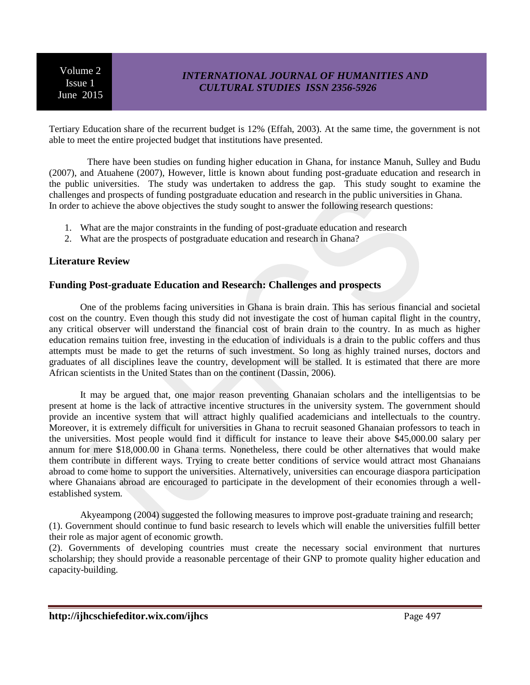# *INTERNATIONAL JOURNAL OF HUMANITIES AND CULTURAL STUDIES ISSN 2356-5926*

Tertiary Education share of the recurrent budget is 12% (Effah, 2003). At the same time, the government is not able to meet the entire projected budget that institutions have presented.

 There have been studies on funding higher education in Ghana, for instance Manuh, Sulley and Budu (2007), and Atuahene (2007), However, little is known about funding post-graduate education and research in the public universities. The study was undertaken to address the gap. This study sought to examine the challenges and prospects of funding postgraduate education and research in the public universities in Ghana. In order to achieve the above objectives the study sought to answer the following research questions:

- 1. What are the major constraints in the funding of post-graduate education and research
- 2. What are the prospects of postgraduate education and research in Ghana?

### **Literature Review**

#### **Funding Post-graduate Education and Research: Challenges and prospects**

One of the problems facing universities in Ghana is brain drain. This has serious financial and societal cost on the country. Even though this study did not investigate the cost of human capital flight in the country, any critical observer will understand the financial cost of brain drain to the country. In as much as higher education remains tuition free, investing in the education of individuals is a drain to the public coffers and thus attempts must be made to get the returns of such investment. So long as highly trained nurses, doctors and graduates of all disciplines leave the country, development will be stalled. It is estimated that there are more African scientists in the United States than on the continent (Dassin, 2006).

It may be argued that, one major reason preventing Ghanaian scholars and the intelligentsias to be present at home is the lack of attractive incentive structures in the university system. The government should provide an incentive system that will attract highly qualified academicians and intellectuals to the country. Moreover, it is extremely difficult for universities in Ghana to recruit seasoned Ghanaian professors to teach in the universities. Most people would find it difficult for instance to leave their above \$45,000.00 salary per annum for mere \$18,000.00 in Ghana terms. Nonetheless, there could be other alternatives that would make them contribute in different ways. Trying to create better conditions of service would attract most Ghanaians abroad to come home to support the universities. Alternatively, universities can encourage diaspora participation where Ghanaians abroad are encouraged to participate in the development of their economies through a wellestablished system.

Akyeampong (2004) suggested the following measures to improve post-graduate training and research; (1). Government should continue to fund basic research to levels which will enable the universities fulfill better their role as major agent of economic growth.

(2). Governments of developing countries must create the necessary social environment that nurtures scholarship; they should provide a reasonable percentage of their GNP to promote quality higher education and capacity-building.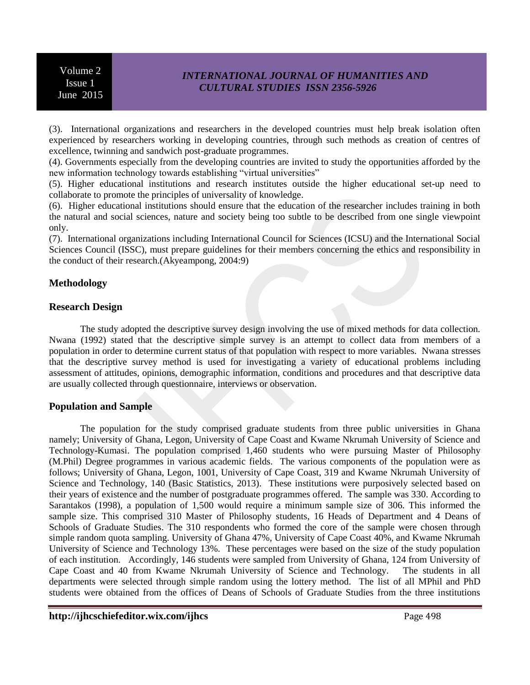## *INTERNATIONAL JOURNAL OF HUMANITIES AND CULTURAL STUDIES ISSN 2356-5926*

(3). International organizations and researchers in the developed countries must help break isolation often experienced by researchers working in developing countries, through such methods as creation of centres of excellence, twinning and sandwich post-graduate programmes.

(4). Governments especially from the developing countries are invited to study the opportunities afforded by the new information technology towards establishing "virtual universities"

(5). Higher educational institutions and research institutes outside the higher educational set-up need to collaborate to promote the principles of universality of knowledge.

(6). Higher educational institutions should ensure that the education of the researcher includes training in both the natural and social sciences, nature and society being too subtle to be described from one single viewpoint only.

(7). International organizations including International Council for Sciences (ICSU) and the International Social Sciences Council (ISSC), must prepare guidelines for their members concerning the ethics and responsibility in the conduct of their research.(Akyeampong, 2004:9)

## **Methodology**

### **Research Design**

The study adopted the descriptive survey design involving the use of mixed methods for data collection. Nwana (1992) stated that the descriptive simple survey is an attempt to collect data from members of a population in order to determine current status of that population with respect to more variables. Nwana stresses that the descriptive survey method is used for investigating a variety of educational problems including assessment of attitudes, opinions, demographic information, conditions and procedures and that descriptive data are usually collected through questionnaire, interviews or observation.

### **Population and Sample**

The population for the study comprised graduate students from three public universities in Ghana namely; University of Ghana, Legon, University of Cape Coast and Kwame Nkrumah University of Science and Technology-Kumasi. The population comprised 1,460 students who were pursuing Master of Philosophy (M.Phil) Degree programmes in various academic fields. The various components of the population were as follows; University of Ghana, Legon, 1001, University of Cape Coast, 319 and Kwame Nkrumah University of Science and Technology, 140 (Basic Statistics, 2013). These institutions were purposively selected based on their years of existence and the number of postgraduate programmes offered. The sample was 330. According to Sarantakos (1998), a population of 1,500 would require a minimum sample size of 306. This informed the sample size. This comprised 310 Master of Philosophy students, 16 Heads of Department and 4 Deans of Schools of Graduate Studies. The 310 respondents who formed the core of the sample were chosen through simple random quota sampling. University of Ghana 47%, University of Cape Coast 40%, and Kwame Nkrumah University of Science and Technology 13%. These percentages were based on the size of the study population of each institution. Accordingly, 146 students were sampled from University of Ghana, 124 from University of Cape Coast and 40 from Kwame Nkrumah University of Science and Technology. The students in all departments were selected through simple random using the lottery method. The list of all MPhil and PhD students were obtained from the offices of Deans of Schools of Graduate Studies from the three institutions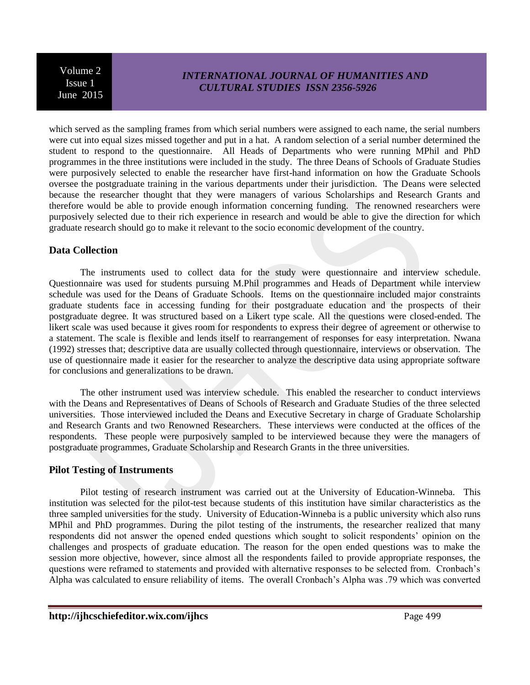## *INTERNATIONAL JOURNAL OF HUMANITIES AND CULTURAL STUDIES ISSN 2356-5926*

which served as the sampling frames from which serial numbers were assigned to each name, the serial numbers were cut into equal sizes missed together and put in a hat. A random selection of a serial number determined the student to respond to the questionnaire. All Heads of Departments who were running MPhil and PhD programmes in the three institutions were included in the study. The three Deans of Schools of Graduate Studies were purposively selected to enable the researcher have first-hand information on how the Graduate Schools oversee the postgraduate training in the various departments under their jurisdiction. The Deans were selected because the researcher thought that they were managers of various Scholarships and Research Grants and therefore would be able to provide enough information concerning funding. The renowned researchers were purposively selected due to their rich experience in research and would be able to give the direction for which graduate research should go to make it relevant to the socio economic development of the country.

### **Data Collection**

The instruments used to collect data for the study were questionnaire and interview schedule. Questionnaire was used for students pursuing M.Phil programmes and Heads of Department while interview schedule was used for the Deans of Graduate Schools. Items on the questionnaire included major constraints graduate students face in accessing funding for their postgraduate education and the prospects of their postgraduate degree. It was structured based on a Likert type scale. All the questions were closed-ended. The likert scale was used because it gives room for respondents to express their degree of agreement or otherwise to a statement. The scale is flexible and lends itself to rearrangement of responses for easy interpretation. Nwana (1992) stresses that; descriptive data are usually collected through questionnaire, interviews or observation. The use of questionnaire made it easier for the researcher to analyze the descriptive data using appropriate software for conclusions and generalizations to be drawn.

The other instrument used was interview schedule. This enabled the researcher to conduct interviews with the Deans and Representatives of Deans of Schools of Research and Graduate Studies of the three selected universities. Those interviewed included the Deans and Executive Secretary in charge of Graduate Scholarship and Research Grants and two Renowned Researchers. These interviews were conducted at the offices of the respondents. These people were purposively sampled to be interviewed because they were the managers of postgraduate programmes, Graduate Scholarship and Research Grants in the three universities.

#### **Pilot Testing of Instruments**

Pilot testing of research instrument was carried out at the University of Education-Winneba. This institution was selected for the pilot-test because students of this institution have similar characteristics as the three sampled universities for the study. University of Education-Winneba is a public university which also runs MPhil and PhD programmes. During the pilot testing of the instruments, the researcher realized that many respondents did not answer the opened ended questions which sought to solicit respondents' opinion on the challenges and prospects of graduate education. The reason for the open ended questions was to make the session more objective, however, since almost all the respondents failed to provide appropriate responses, the questions were reframed to statements and provided with alternative responses to be selected from. Cronbach's Alpha was calculated to ensure reliability of items. The overall Cronbach's Alpha was .79 which was converted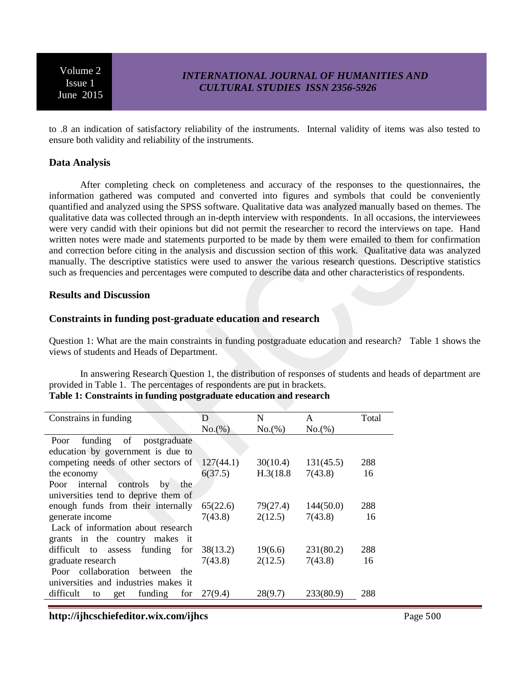## *INTERNATIONAL JOURNAL OF HUMANITIES AND CULTURAL STUDIES ISSN 2356-5926*

to .8 an indication of satisfactory reliability of the instruments. Internal validity of items was also tested to ensure both validity and reliability of the instruments.

#### **Data Analysis**

After completing check on completeness and accuracy of the responses to the questionnaires, the information gathered was computed and converted into figures and symbols that could be conveniently quantified and analyzed using the SPSS software. Qualitative data was analyzed manually based on themes. The qualitative data was collected through an in-depth interview with respondents. In all occasions, the interviewees were very candid with their opinions but did not permit the researcher to record the interviews on tape. Hand written notes were made and statements purported to be made by them were emailed to them for confirmation and correction before citing in the analysis and discussion section of this work. Qualitative data was analyzed manually. The descriptive statistics were used to answer the various research questions. Descriptive statistics such as frequencies and percentages were computed to describe data and other characteristics of respondents.

#### **Results and Discussion**

#### **Constraints in funding post-graduate education and research**

Question 1: What are the main constraints in funding postgraduate education and research? Table 1 shows the views of students and Heads of Department.

In answering Research Question 1, the distribution of responses of students and heads of department are provided in Table 1. The percentages of respondents are put in brackets.

### **Table 1: Constraints in funding postgraduate education and research**

| Constrains in funding                     | D         | N         | A         | Total |
|-------------------------------------------|-----------|-----------|-----------|-------|
|                                           | No.(%)    | No.(%)    | No.(%)    |       |
| of<br>postgraduate<br>funding<br>Poor     |           |           |           |       |
| education by government is due to         |           |           |           |       |
| competing needs of other sectors of       | 127(44.1) | 30(10.4)  | 131(45.5) | 288   |
| the economy                               | 6(37.5)   | H.3(18.8) | 7(43.8)   | 16    |
| internal<br>controls<br>Poor<br>by<br>the |           |           |           |       |
| universities tend to deprive them of      |           |           |           |       |
| enough funds from their internally        | 65(22.6)  | 79(27.4)  | 144(50.0) | 288   |
| generate income                           | 7(43.8)   | 2(12.5)   | 7(43.8)   | 16    |
| Lack of information about research        |           |           |           |       |
| grants in the country makes it            |           |           |           |       |
| assess funding<br>difficult to<br>for     | 38(13.2)  | 19(6.6)   | 231(80.2) | 288   |
| graduate research                         | 7(43.8)   | 2(12.5)   | 7(43.8)   | 16    |
| Poor collaboration<br>between<br>the      |           |           |           |       |
| universities and industries makes it      |           |           |           |       |
| difficult<br>funding<br>for<br>get<br>to  | 27(9.4)   | 28(9.7)   | 233(80.9) | 288   |

**http://ijhcschiefeditor.wix.com/ijhcs** Page 500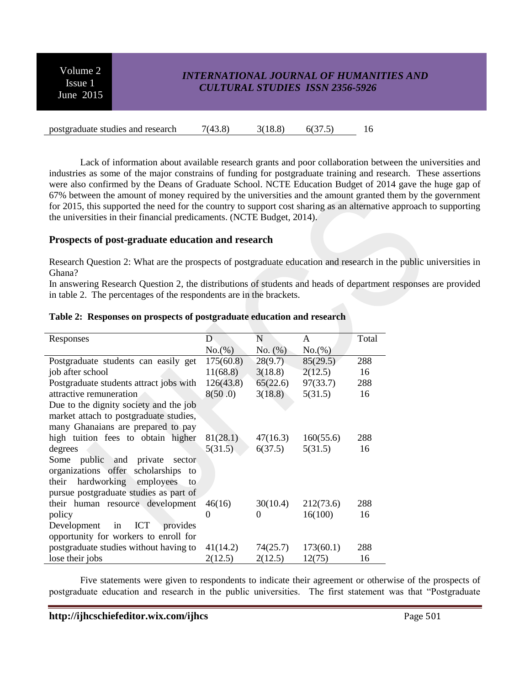## *INTERNATIONAL JOURNAL OF HUMANITIES AND CULTURAL STUDIES ISSN 2356-5926*

postgraduate studies and research  $7(43.8)$   $3(18.8)$   $6(37.5)$  16

Lack of information about available research grants and poor collaboration between the universities and industries as some of the major constrains of funding for postgraduate training and research. These assertions were also confirmed by the Deans of Graduate School. NCTE Education Budget of 2014 gave the huge gap of 67% between the amount of money required by the universities and the amount granted them by the government for 2015, this supported the need for the country to support cost sharing as an alternative approach to supporting the universities in their financial predicaments. (NCTE Budget, 2014).

### **Prospects of post-graduate education and research**

Research Question 2: What are the prospects of postgraduate education and research in the public universities in Ghana?

In answering Research Question 2, the distributions of students and heads of department responses are provided in table 2. The percentages of the respondents are in the brackets.

| Responses                                   | D         | N        | A         | Total |
|---------------------------------------------|-----------|----------|-----------|-------|
|                                             | No.(%)    | No. (%)  | No.(%)    |       |
| Postgraduate students can easily get        | 175(60.8) | 28(9.7)  | 85(29.5)  | 288   |
| job after school                            | 11(68.8)  | 3(18.8)  | 2(12.5)   | 16    |
| Postgraduate students attract jobs with     | 126(43.8) | 65(22.6) | 97(33.7)  | 288   |
| attractive remuneration                     | 8(50.0)   | 3(18.8)  | 5(31.5)   | 16    |
| Due to the dignity society and the job      |           |          |           |       |
| market attach to postgraduate studies,      |           |          |           |       |
| many Ghanaians are prepared to pay          |           |          |           |       |
| high tuition fees to obtain higher          | 81(28.1)  | 47(16.3) | 160(55.6) | 288   |
| degrees                                     | 5(31.5)   | 6(37.5)  | 5(31.5)   | 16    |
| Some public and private sector              |           |          |           |       |
| organizations offer scholarships<br>to      |           |          |           |       |
| hardworking<br>employees<br>their<br>to.    |           |          |           |       |
| pursue postgraduate studies as part of      |           |          |           |       |
| their human resource development            | 46(16)    | 30(10.4) | 212(73.6) | 288   |
| policy                                      | 0         | $\Omega$ | 16(100)   | 16    |
| <b>ICT</b><br>in<br>provides<br>Development |           |          |           |       |
| opportunity for workers to enroll for       |           |          |           |       |
| postgraduate studies without having to      | 41(14.2)  | 74(25.7) | 173(60.1) | 288   |
| lose their jobs                             | 2(12.5)   | 2(12.5)  | 12(75)    | 16    |

#### **Table 2: Responses on prospects of postgraduate education and research**

Five statements were given to respondents to indicate their agreement or otherwise of the prospects of postgraduate education and research in the public universities. The first statement was that "Postgraduate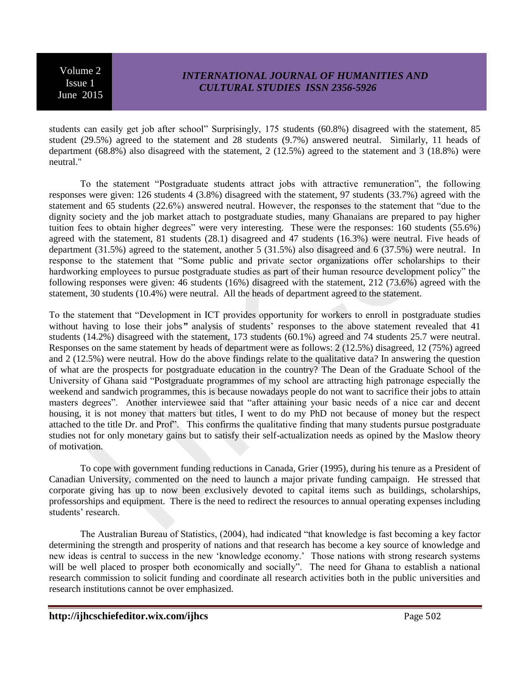# *INTERNATIONAL JOURNAL OF HUMANITIES AND CULTURAL STUDIES ISSN 2356-5926*

students can easily get job after school" Surprisingly, 175 students (60.8%) disagreed with the statement, 85 student (29.5%) agreed to the statement and 28 students (9.7%) answered neutral. Similarly, 11 heads of department (68.8%) also disagreed with the statement, 2 (12.5%) agreed to the statement and 3 (18.8%) were neutral."

To the statement "Postgraduate students attract jobs with attractive remuneration", the following responses were given: 126 students 4 (3.8%) disagreed with the statement, 97 students (33.7%) agreed with the statement and 65 students (22.6%) answered neutral. However, the responses to the statement that "due to the dignity society and the job market attach to postgraduate studies, many Ghanaians are prepared to pay higher tuition fees to obtain higher degrees" were very interesting. These were the responses: 160 students (55.6%) agreed with the statement, 81 students (28.1) disagreed and 47 students (16.3%) were neutral. Five heads of department (31.5%) agreed to the statement, another 5 (31.5%) also disagreed and 6 (37.5%) were neutral. In response to the statement that "Some public and private sector organizations offer scholarships to their hardworking employees to pursue postgraduate studies as part of their human resource development policy" the following responses were given: 46 students (16%) disagreed with the statement, 212 (73.6%) agreed with the statement, 30 students (10.4%) were neutral. All the heads of department agreed to the statement.

To the statement that "Development in ICT provides opportunity for workers to enroll in postgraduate studies without having to lose their jobs*"* analysis of students' responses to the above statement revealed that 41 students (14.2%) disagreed with the statement, 173 students (60.1%) agreed and 74 students 25.7 were neutral. Responses on the same statement by heads of department were as follows: 2 (12.5%) disagreed, 12 (75%) agreed and 2 (12.5%) were neutral. How do the above findings relate to the qualitative data? In answering the question of what are the prospects for postgraduate education in the country? The Dean of the Graduate School of the University of Ghana said "Postgraduate programmes of my school are attracting high patronage especially the weekend and sandwich programmes, this is because nowadays people do not want to sacrifice their jobs to attain masters degrees". Another interviewee said that "after attaining your basic needs of a nice car and decent housing, it is not money that matters but titles, I went to do my PhD not because of money but the respect attached to the title Dr. and Prof". This confirms the qualitative finding that many students pursue postgraduate studies not for only monetary gains but to satisfy their self-actualization needs as opined by the Maslow theory of motivation.

To cope with government funding reductions in Canada, Grier (1995), during his tenure as a President of Canadian University, commented on the need to launch a major private funding campaign. He stressed that corporate giving has up to now been exclusively devoted to capital items such as buildings, scholarships, professorships and equipment. There is the need to redirect the resources to annual operating expenses including students' research.

The Australian Bureau of Statistics, (2004), had indicated "that knowledge is fast becoming a key factor determining the strength and prosperity of nations and that research has become a key source of knowledge and new ideas is central to success in the new 'knowledge economy.' Those nations with strong research systems will be well placed to prosper both economically and socially". The need for Ghana to establish a national research commission to solicit funding and coordinate all research activities both in the public universities and research institutions cannot be over emphasized.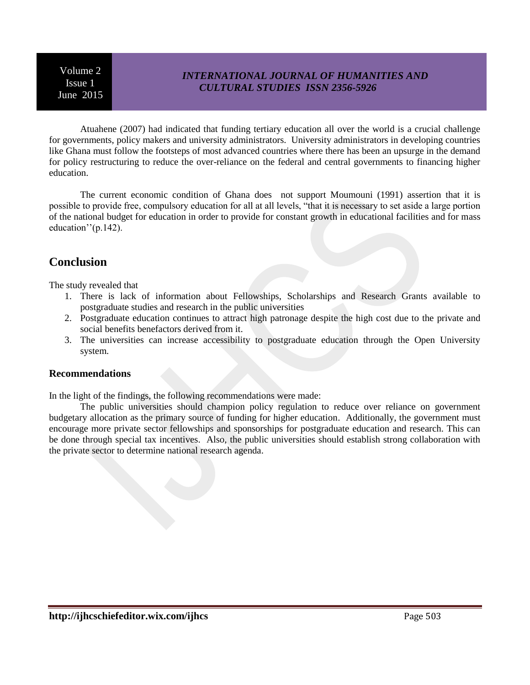# *INTERNATIONAL JOURNAL OF HUMANITIES AND CULTURAL STUDIES ISSN 2356-5926*

Atuahene (2007) had indicated that funding tertiary education all over the world is a crucial challenge for governments, policy makers and university administrators. University administrators in developing countries like Ghana must follow the footsteps of most advanced countries where there has been an upsurge in the demand for policy restructuring to reduce the over-reliance on the federal and central governments to financing higher education.

The current economic condition of Ghana does not support Moumouni (1991) assertion that it is possible to provide free, compulsory education for all at all levels, "that it is necessary to set aside a large portion of the national budget for education in order to provide for constant growth in educational facilities and for mass education''(p.142).

# **Conclusion**

The study revealed that

- 1. There is lack of information about Fellowships, Scholarships and Research Grants available to postgraduate studies and research in the public universities
- 2. Postgraduate education continues to attract high patronage despite the high cost due to the private and social benefits benefactors derived from it.
- 3. The universities can increase accessibility to postgraduate education through the Open University system.

### **Recommendations**

In the light of the findings, the following recommendations were made:

The public universities should champion policy regulation to reduce over reliance on government budgetary allocation as the primary source of funding for higher education. Additionally, the government must encourage more private sector fellowships and sponsorships for postgraduate education and research. This can be done through special tax incentives. Also, the public universities should establish strong collaboration with the private sector to determine national research agenda.